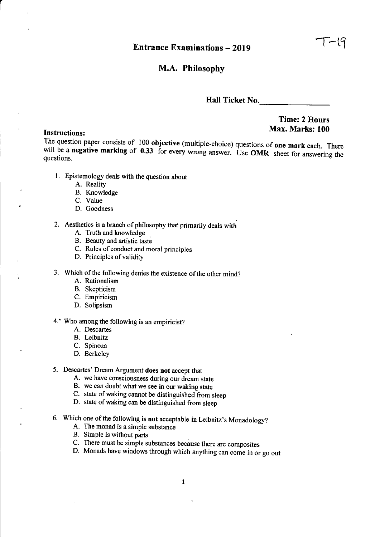# **Entrance Examinations - 2019**

## M.A. Philosophy

Hall Ticket No.

## Time: 2 Hours Max. Marks: 100

Instructions:

The question paper consists of 100 objective (multiple-choice) questions of one mark each. There will be a negative marking of 0.33 for every wrong answer. Use OMR sheet for answering the questions. will be a negative marking of 0.33 for every wrong answer. Use OMR sheet for answering the

- l. Epistemology deals with the question about
	- A. Reality
	- B. Knowledge
	- C. Value
	- D. Goodness
- 2. Aesthetics is a branch of philosophy that primarily deals with
	- A. Truth and knowledge
	- B. Beauty and artistic taste
	- C. Rules of conduct and moral principles
	- D. Principles of validity

3. Which of the following denies the existence of the other mind?

- A. Rationalism
- B. Skepticism
- C. Empiricism
- D. Solipsism

# 4.' Who among the following is an empiricist?

- A. Descartes
- B. Leibnitz
- C. Spinoza
- D. Berkeley
- 5. Descartes' Dream Argument does not accept that
	- A. we have consciousness during our dream state
	- B. we can doubt what we see in our waking state
	- C. state of waking cannot be distinguished from sleep
	- D. state of waking can be distinguished from sleep
- 6. Which one of the following is not acceptable in Leibnitz's Monadology?
	- A. The monad is a simple substance
	- B. Simple is without parts
	- C. There must be simple substances because there are composites
	- D. Monads have windows through which anything can come in or go out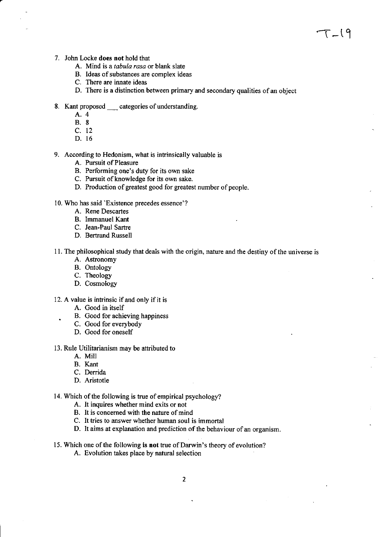- 7. John Locke does not hold that
	- A. Mind is a tabula rasa or blank slate
	- B. Ideas of substances are complex ideas
	- C. There are innate ideas
	- D. There is a distinction between primary and secondary qualities of an object
- 8. Kant proposed <u>ea</u>categories of understanding.
	- 4.4
	- B.8
	- c. l2
	- D. <sup>16</sup>
- 9. According to Hedonism, what is intrinsically valuable is
	- A. Pursuit of Pleasure
	- B. Performing one's duty for its own sake
	- C. Pursuit of knowledge for its own sake.
	- D. Production of greatest good for greatest number of people.
- 10. Who has said'Existence precedes essence'?
	- A. Rene Descartes
	- B. Immanuel Kant
	- C. Jean-Paul Sartre
	- D. Bertrand Russell
- 11. The philosophical study that deals with the origin, nature and the destiny of the universe is
	- A. Astronomy
	- B. Ontology
	- C. Theology
	- D. Cosmology
- 12. A value is intrinsic if and only if it is
	- A. Good in itself
	- . B. Good for achieving happiness
	- C. Good for everybody
	- D. Good for oneself
- 13. Rule Utilitarianism may be atfibuted to
	- A. Mill
	- B. Kant
	- C. Derrida
	- D. Aristotle
- 14. Which of the following is true of empirical psychology?
	- A. It inquires whether mind exits or not
	- B. It is concerned with the nature of mind
	- C. It tries to answer whether human soul is immortal
	- D. It aims at explanation and prediction of the behaviour of an organism.
- 15. Which one of the following is not true of Darwin's theory of evolution?
	- A. Evolution takes place by natural selection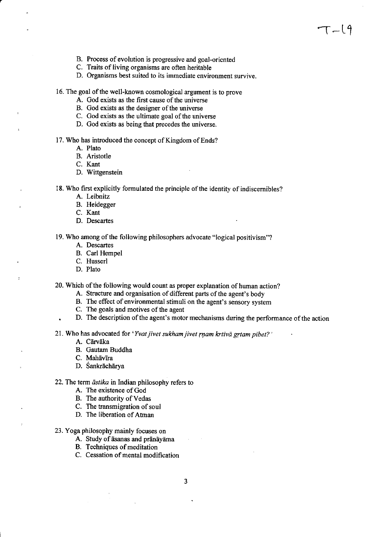- B. Process of evolution is progressive and goal-oriented
- C. Traits of living organisms are often heritable
- D. Organisms best suited to its immediate environment survive.

T – l 9

16. The goal of the well-known cosmological argument is to prove

- A. God exists as the first cause of the universe
- B. God exists as the designer of the universe
- C. God exists as the ultimate goal of the universe
- D. God exists as being that precedes the universe.

#### 17. Who has introduced the concept of Kingdom of Ends?

- A. Plato
- B. Aristotle
- C. Kant
- D. Wittgenstein
- 18. Who first explicitly formulated the principle of the identity of indiscemibtes?
	- A. Leibnitz
	- B. Heidegger
	- C. Kant
	- D. Descartes
- 19. Who among of the following philosophers advocate "logical positivism"?
	- A. Descartes
	- B. Carl Hempel
	- C. Husserl
	- D. Plato

20. Which of the following would count as proper explanation of human action?

- A. Structure and organisation of different parts of the agent's body
- B. The effect of environmental stimuli on the agent's sensory system
- C. The goals and motives of the agent
- D. The description of the agent's motor mechanisms during the performance of the action
- 21. Who has advocated for 'Yvat jivet sukham jivet rnam krtivā grtam pibet?'
	- A. Cārvāka
	- B. Gautam Buddha
	- C. Mahāvīra
	- D. Sankrāchārya
- 22. The term  $\bar{a}$ stika in Indian philosophy refers to
	- A. The existence of God
	- B. The authority of Vedas
	- C. The transmigration of soul
	- D. The liberation of Atman
- 23. Yoga philosophy mainly focuses on
	- A. Study of asanas and pranayama
	- B. Techniques of meditation
	- C. Cessation of rnental modification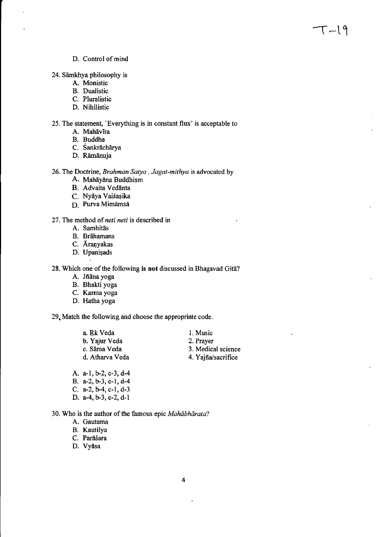D. Control of mind

## 24. Sāmkhya philosophy is

- A. Monistic
- B. Dualistic
- C. Pluralistic
- D. Nihilistic

## 25. The statement, 'Everything is in constant flux' is acceptable to

- A. Mahāvīra
- B. Buddha
- C. Śankrāchārya
- D. Rāmānuja

## 26. The Doctrine, Brahman Satya , Jagat-mithya is advocated by

- A. Malayana Buddhism
- B. Advaita Vedānta
- C. Nyāya Vaiśaşika
- D. Purva Mimāmsā

#### 27. The method of neti neti is described in

- A. Samhitas
- B. Brāhamans
- C. Araqyakas
- D. Upanigads

## 28. Which one of the following is not discussed in Bhagavad Gita?

- A. Jñāna yoga
- B. Bhakti yoga
- C. Karma yoga
- D. Hatha yoga

29. Match the following and choose the appropriate code.

- a. Rk Veda b. Yajur Veda c. Sāma Veda d. Atharva Veda 1. Music 2. Prayer 3. Medical science 4. Yajña/sacrifice
- A. a-1,b-2, c-3, d-4 B. a-2, b-3, c-1, d-4 C. a-2,b-4, c-1, d-3 D. a-4, b-3, c-2, d-l

#### 30. Who is the author of the famous epic Mahābhārata?

- A. Gautama
- B. Kautilya
- C. Parāśara
- D. Vyāsa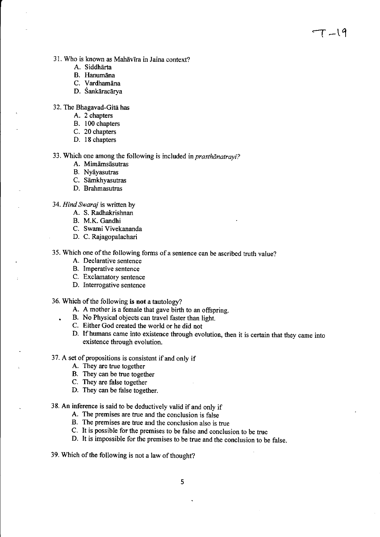$T - 19$ 

- 31. Who is known as Mahāvīra in Jaina context?
	- A. Siddharta
	- B. Hanumāna
	- C. Vardhamāna
	- D. Sankāracārya

32. The Bhagavad-Gita has

- A. 2 chapters
- B. 100 chapters
- C. 20 chapters
- D. 18 chapters

33. Which one among the following is included in *prasthānatrayi?* 

- A. Mimāmsāsutras
- B. Nyayasutras
- C. Sāmkhyasutras
- D. Brahmasutras

34. Hind Swaraj is written by

- A. S. Radhakrishnan
- B. M.K. Gandhi
- C. Swami Vivekananda
- D. C. Rajagopalachari

35. Which one of the following forms of a sentence can be ascribed tmth value?

- A. Declarative sentence
- B. Imperative sentence
- C. Exclamatory sentence
- D. Interrogative sentence

36. Which of the following is not a tautology?

- A. A mother is a female that gave birth to an offspring.
- . B. No Physical objects can travel faster than light.
- C. Either God created the world or he did not
- D. If humans came into existence through evolution, then it is certain that they came into existence through evolution.

37. A set of propositions is consistent if and only if

- A. They are true together
- B. They can be true together
- C. They are false together
- D. They can be false together.

## 38. An inference is said to be deductively valid if and only if

- A. The premises are true and the conclusion is false
- B. The premises are true and the conclusion also is true
- C. It is possible for the premises to be false and conclusion to be true
- D. It is impossible for the premises to be true and the conclusion to be false.

## 39. Which of the following is not a law of thought?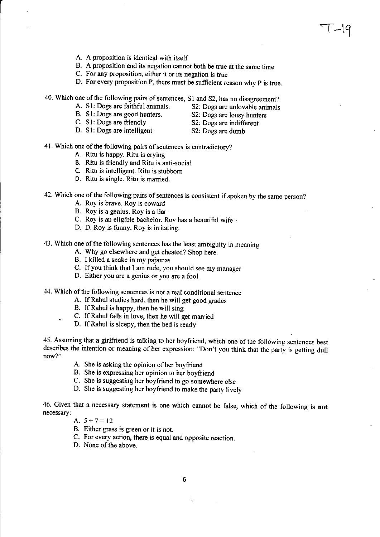- A. A proposition is identical with itself
- B. A proposition and its negation cannot both be true at the same time
- C. For any proposition, either it or its negation is true
- D. For every proposition P, there must be sufficient reason why P is true.
- 40. Which one of the following pairs of sentences, S1 and S2, has no disagreement?
	- A. S1: Dogs are faithful animals. S2: Dogs are unlovable animals
	- B. S1: Dogs are good hunters. S2: Dogs are lousy hunters<br>C. S1: Dogs are friendly S2: Dogs are indifferent
	- C. S1: Dogs are friendly
- 
- -
- 
- D. S1: Dogs are intelligent S2: Dogs are dumb
- 41. Which one of the following pairs of sentences is contradictory?
	- A. Ritu is happy. Ritu is crying
	- B. Ritu is friendly and Ritu is anti-social
	- C. Ritu is intelligent. Ritu is stubbom
	- D. Ritu is single. Ritu is married.
- 42. Which one of the following pairs of sentences is consistent if spoken by the same person?
	- A. Roy is brave. Roy is coward
	- B. Roy is a genius. Roy is a liar
	- C. Roy is an eligible bachelor. Roy has a beautiful wife .
	- D. D. Roy is funny. Roy is irritating.
- 43. Which one of the following sentences has the least ambiguity in meaning
	- A. Why go elsewhere and get cheated? Shop here.
	- B. I killed a snake in my pajamas
	- C. If you think that I am rude, you should see my manager
	- D. Either you are a genius or you are a fool

44. Which of the following sentences is not a real conditional sentence

- A. IfRahul studies hard, then he will get good grades
- B. If Rahul is happy, then he will sing
- . C. If Rahul falls in love, then he will get married
- D. If Rahul is sleepy, then the bed is ready

45. Assuming that a girlfriend is talking to her boyfriend, which one of the following sentences best describes the intention or meaning of her expression: "Don't you think that the party is getting dull now?"

- A. She is asking the opinion of her boyfriend
- B. She is expressing her opinion to her boyfriend
- C. She is suggesting her boyfriend to go somewhere else
- D. She is suggesting her boyfriend to make the party lively

46. Given that a necessary statement is one which cannot be false, which of the following is not necessary:

A.  $5 + 7 = 12$ 

- B. Either grass is green or it is not.
- C. For every action, there is equal and opposite reaction.
- D. None of the above.

ા –ાવ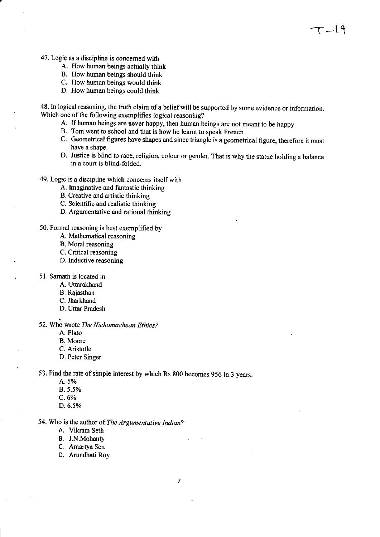- 47. Logic as a discipline is concemed with
	- A. How human beings actually think
	- B. How human beings should think
	- C. How human beings would think
	- D. How human beings could think

48. In logical reasoning, the truth claim of a belief will be supported by some evidence or information. Which one of the following exemplifies logical reasoning?

- A. If human beings are never happy, then human beings are not meant to be happy
- B. Tom went to school and that is how he learnt to speak French
- C. Geometrical figures have shapes and since triangle is a geometrical figure, therefore it must have a shape.

 $T-l9$ 

- D. Justice is blind to race, religion, colour or gender. That is why the statue holding a balance in a court is blind-folded.
- 49. Logic is a discipline which concerns itself with
	- A. Imaginative and fantastic thinking
	- B. Creative and artistic thinking
	- C. Scientific and realistic thinking
	- D. Argumentative and rational thinking
- 50. Formal reasoning is best exemplified by
	- A. Mathematical reasoning
	- B. Moral reasoning
	- C. Critical reasoning
	- D. Inductive reasoning
- 51. Samath is located in
	- A. Uttarakhand
	- B. Rajasthan
	- C. Jharkhand
	- D. Uttar Pradesh
- 52. Who wrote The Nichomachean Ethics?
	- A. Plato
	- B. Moore
	- C. Aristotle
	- D. Peter Singer

53. Find the rate of simple interest by which Rs 800 becomes 956 in 3 years.

- A. 5%
- 8.5.5%
- c.60/o
- D.6.5%

## 54. Who is the author of The Argumentative Indian?

- A. Vikram Seth
- B. J.N.Mohanty
- C. Amartya Sen
- D. Arundhati Roy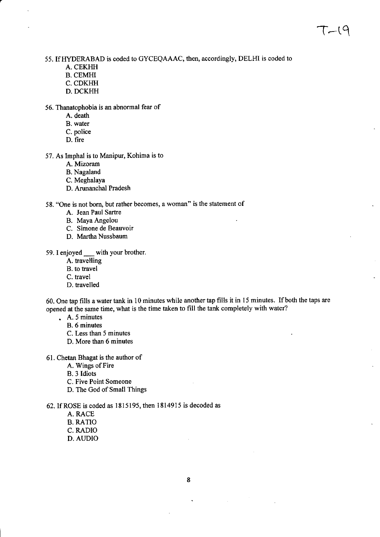55. If FIYDERABAD is coded to GYCEQAAAC, then, accordingly, DELHI is coded to

- A. CEKHH
- B. CEMHI
- C. CDKHH
- D. DCKHH

56. Thanatophobia is an abnormal fear of

- A. death
- B. water
- C. police
- D. fire
- 57. As Imphal is to Manipur, Kohima is to
	- A. Mizoram
	- B. Nagaland
	- C. Meghalaya
	- D. Arunanchal Pradesh

58. "One is not bom, but rather becomes, a woman" is the statement of

- A. Jean Paul Sartre
- B. Maya Angelou
- C. Simone de Beauvoir
- D. Martha Nussbaum
- 59. I enjoyed \_ with your brother.
	- A. travelling
	- B. to travel
	- C. travel
	- D. travelled

60. One tap fills a water tank in 10 minutes while another tap fills it in 15 minutes. If both the taps are opened at the same time, what is the time taken to fill the tank completely with water?

- . A. 5 minutes
	- B. 6 minutes
	- C. Less than 5 minutes
	- D. More than 6 minutes
- 61. Chetan Bhagat is the author of
	- A. Wings of Fire
		- B. 3 Idiots
		- C. Five Point Someone
		- D. The God of Small Things

62. IfROSE is coded as 1815195, then 1814915 is decoded as

- A. RACE
- B. RATIO
- C. RADIO
- D, AUDIO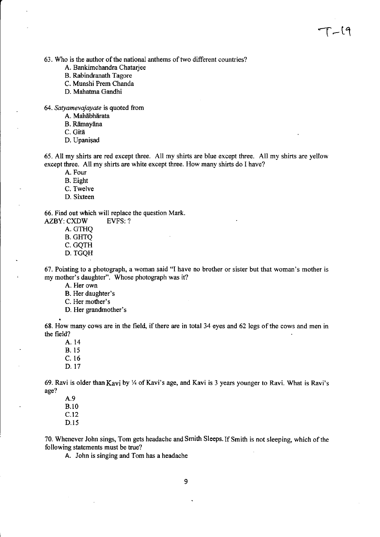63. Who is the author of the national anthems of two different countries?

- A. Bankimchandra Chatarjee
- B. Rabindranath Tagore
- C. Munshi Prem Chanda
- D. Mahatma Gandhi

64. Satyamevajayare is quoted from

A. Mahabharata

- B. Rāmavāna
- C. Gitā
- D. Upanigad

65. All my shirts are red except three. All my shirts are blue except three. All my shirts are yellow except three. All my shirts are white except three. How many shirts do I have?

T - [9

A. Four

B. Eight

C. Twelve

D. Sixteen

66. Find out which will replace the question Mark.<br>AZBY: CXDW EVFS: ?

AZBY: CXDW

A. GTHQ

B. CHTQ

- C. GQTH
- D. TGQH

67. Pointing to a photograph, a woman said "I have no brother or sister but that woman's mother is my mother's daughter". Whose photograph was it?

A. Her own

B. Her daughter's

C. Her mother's

D. Her grandmother's

68. How many cows are in the field, if there are in total 34 eyes and 62 legs ofthe cows and men in the field?

A. i4 B. i5 c. 16

D. 17

69. Ravi is older than Kavi by % of Kavi's age, and Kavi is 3 yean younger to Ravi. What is Ravi's age?

A.9 B.10 c.t2 D.l5

70. Whenever John sings, Tom gets headache and Smith Sleeps. If Smith is not sleeping, which of the following statements must be true?

A. John is singing and Tom has a headache

9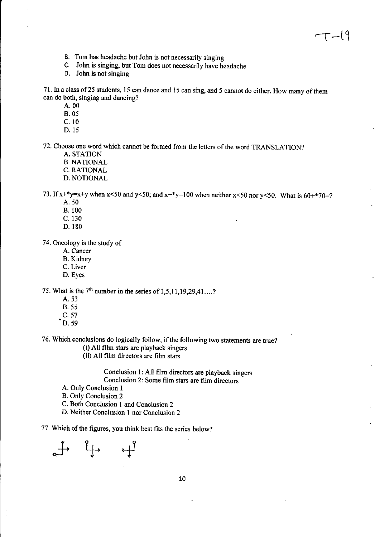- B. Tom has headache but John is not necessarily singing
- C. John is singing, but Tom does not necessarily have headache

D. John is not singing

71. In a class of 25 students, 15 can dance and 15 can sing, and 5 cannot do either. How many of them can do both, singing and dancing?

4.00

8.05

c. l0

D. 15

72. Choose one word which cannot be formed fiom the letters of the word TRANSLATION?

A. STATION B.NATIONAL

C. RATIONAL

D. NOTIONAL

73. If  $x$ <sup>+\*</sup>y=x+y when x<50 and y<50; and  $x$ <sup>+\*</sup>y=100 when neither x<50 nor y<50. What is 60+\*70=?

- A.50
- B. 100
- c. 130
- D. 180

74. Oncology is the study of

- A. Cancer
- B. Kidney
- C. Liver
- D. Eyes

75. What is the  $7<sup>th</sup>$  number in the series of 1,5,11,19,29,41....?

- A.53
- B. 55<br>C. 57
- 
- D. 59

76. Which conclusions do logically follow, if the following two statements are true?

(i) All film stars are playback singers

(ii) All film directors are film stars

Conclusion l: All film directors are playback singers Conclusion 2: Some film stars are film directors

- A. Only Conclusion I
- B. Only Conclusion 2
- C. Both Conclusion 1 and Conclusion 2

D. Neither Conclusion 1 nor Conclusion 2

77. Which of the figures, you think best fits the series below?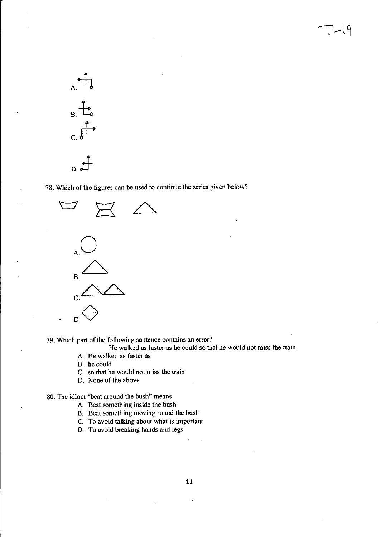$+1$  $\frac{1}{L_0}$  $\int_{0}^{\frac{\pi}{2}}$ A. B. C.

 $\mathbf{D}$ . النو

78. Which of the figures can be used to continue the series given below?



79. Which part of the following sentence contains an error?

He walked as faster as he could so that he would not miss the train.

- A. He walked as faster as
- B. he could
- C. so that he would not miss the train
- D. None of the above

80. The idiom "beat around the bush" means

- A. Beat something inside the bush
- B. Beat something moving round the bush
- C. To avoid talking about what is important
- D. To avoid breaking hands and legs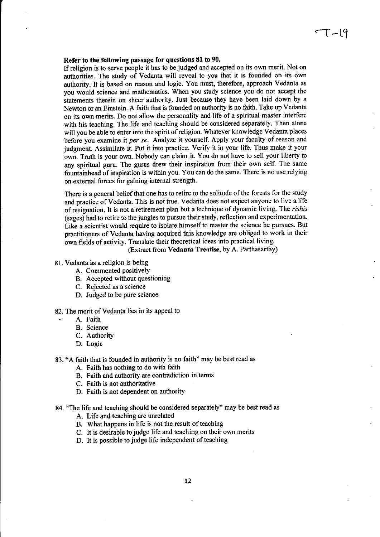## Refer to the following passage for questions 81 to 90.

If religion is to serve people it has to be judged and accepted on its own merit. Not on authorities. The study of Vedanta will reveal to you that it is founded on its own authority. It is based on reason and logic. You must, therefore, approach Vedanta as you would science and mathematics. When you study science you do not accept the statements therein on sheer authority. Just because they have been laid down by <sup>a</sup> Newton or an Einstein. A faith that is founded on authority is no faith. Take up Vedanta on its own merits. Do not allow the personality and life of a spiritual master interfere with his teaching. The life and teaching should be considered separately. Then alone will you be able to enter into the spirit of religion. Whatever knowledge Vedanta places before you examine it per se. Analyze it yourself. Apply your faculty of reason and judgment. Assimilate it. Put it into practice. Verify it in your life. Thus make it your own. Truth is your own. Nobody can claim it. You do not have to sell your liberty to any spiritual guru. The gurus drew their inspiration from their own self. The same fountainhead of inspiration is within you. You can do the same. There is no use relying on extemal forces for gaining intemal strength.

There is a general belief that one has to retire to the solitude of the forests for the study and practice of Vedanta. This is not true. Vedanta does not expect anyone to live a life of resignation. It is not a retirement plan but a technique of dynamic living. The rishis (sages) had to retire to the jungles to pursue their study, reflection and experimentation. Like a scientist would require to isolate himself to master the science he pursues. But practitioners of Vedanta having acquired this knowledge are obliged to work in their own fields of activity. Translate their theoretical ideas into practical living.

(Extract from Vedanta Treatise, by A. Parthasarthy)

## 81. Vedanta as a religion is being

- A. Commented positively
- B. Accepted without questioning
- C. Rejected as a science
- D. Judged to be pure science
- 82. The merit of Vedanta lies in its appeal to
	- . A. Faith
		- B. Science
		- C. Authority
		- D. Logic
- 83. 'A faith that is founded in authority is no faith" may be best read as
	- A. Faith has nothing to do with faith
	- B. Faith and authority are contradiction in terms
	- C. Faith is not authoritative
	- D. Faith is not dependent on authority
- 84. "The life and teaching should be considered separately" may be best read as
	- A. Life and teaching are unrelated
	- B. What happens in life is not the result of teaching
	- C. It is desirable to judge life and teaching on their own merits
	- D. It is possible to judge life independent of teaching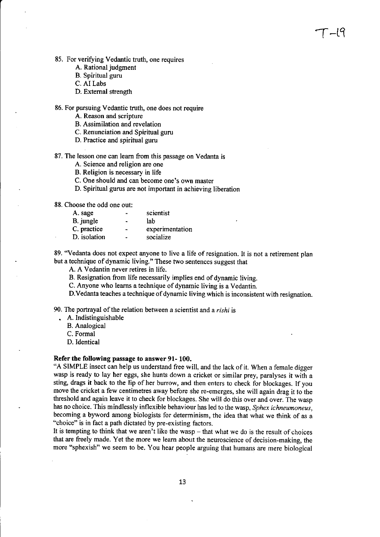85. For verifying Vedantic truth, one requires

A. Rational judgment

B. Spiritual guru

C. AI Labs

D. Extemal strength

## 86. For pursuing Vedantic truth, one does not require

- A. Reason and scripture
- B. Assimilation and revelation
- C. Renunciation and Spiritual guru
- D. Practice and spiritual guru

#### 87. The lesson one can leam from this passage on Vedanta is

- A. Science and religion are one
- B. Religion is necessary in life
- C. One should and can become one's own master
- D. Spiritual gurus are not important in achieving liberation

88. Choose the odd one out:

| A. sage      | ۰ | scientist       |
|--------------|---|-----------------|
| B. jungle    |   | lab             |
| C. practice  | - | experimentation |
| D. isolation |   | socialize       |

89. "Vedanta does not expect anyone to live a life of resignation. It is not a retirement plan but a technique of dynamic living." These two sentences suggest that

 $-19$ 

A. A Vedantin never retires in life.

B. Resignation from life necessarily implies end of dynamic living.

C. Anyone who leams a technique of dynamic living is a Vedantin.

D.Vedanta teaches a technique of dynamic living which is inconsistent with resignation.

#### 90. The portrayal of the relation between a scientist and a *rishi* is

- . A. Indistinguishable
	- B. Analogical
	- C. Formal
	- D. Identical

Refer the following passage to answer 91- 100.<br>"A SIMPLE insect can help us understand free will, and the lack of it. When a female digger wasp is ready to lay her eggs, she hunts down a cricket or similar prey, paralyses it with <sup>a</sup> sting, drags it back to the lip of her burrow, and then enters to check for blockages. If you move the cricket a few centimetres away before she re-emerges, she will again drag it to the threshold and again leave it to check for blockages. She will do this over and over. The wasp has no choice. This mindlessly inflexible behaviour has led to the wasp, Sphex ichneumoneus, becoming a byword among biologists for determinism, the idea that what we think of as a "choice" is in fact a path dictated by pre-existing factors.

It is tempting to think that we aren't like the wasp  $-$  that what we do is the result of choices that are freely made. Yet the more we learn about the neuroscience of decision-making, the more "sphexish" we seem to be. You hear people arguing that humans are mere biological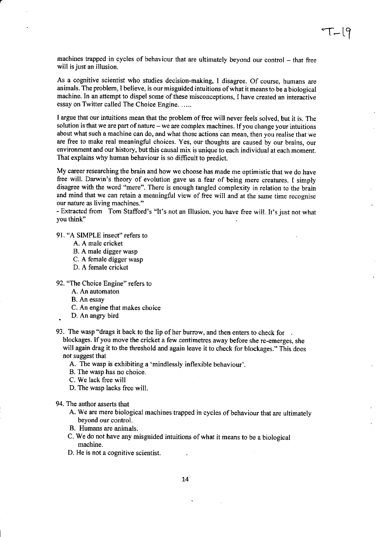machines trapped in cycles of behaviour that are ultimately beyond our control - that free will is just an illusion.

As a cognitive scientist who studies decision-making, I disagree. Of course. humans are animals. The problem, I believe, is our misguided intuitions of what it means to be a biological machine. In an attempt to dispel some of these misconceptions, I have created an interactive essay on Twitter called The Choice Engine. .....

I argue that our intuitions mean that the problem offree will never feels solved, but it is. The solution is that we are part of nature  $-$  we are complex machines. If you change your intuitions about what such a machine can do, and what those actions can mean, then you realise that we are free to make real meaningful choices. Yes, our thoughts are caused by our brains, our environment and our history, but this causal mix is unique to each individual at each moment. That explains why human behaviour is so difficult to predict.

My career researching the brain and how we choose has made me optimistic that we do have free will. Darwin's theory of evolution gave us a fear of being mere creatures. I simply disagree with the word "mere". There is enough tangled complexity in relation to the brain and mind that we can retain a meaningful view of free will and at the same time recognise our nature as living machines."

- Extracted from Tom Stafford's "It's not an Illusion, you have free will. It's just not what you think"

91. "A SIMPLE insect" refers to

- A. A male cricket
- B. A male digger wasp
- C. A female digger wasp
- D. A female cricket
- 92. "The Choice Engine" refers to
	- A. An automaton
	- B. An essay

.

- C. An engine that makes choice
- D. An angry bird
- 93. The wasp "drags it back to the lip of her burrow, and then enters to check for.

blockages. If you move the cricket a few centimetres away before she re-emerges, she will again drag it to the threshold and again leave it to check for blockages." This does not suggest that

- A. The wasp is exhibiting a 'mindlessly inflexible behaviour'.
- B. The wasp has no choice.
- C. We lack free will
- D. The wasp lacks free will.
- 94. The author asserts that
	- A. We are mere biological machines trapped in cycles of behaviour that are ultimately beyond our control.
	- B. Humans are animals.
	- C. We do not have any misguided intuitions of what it means to be a biological machine.
	- D. He is not a cognitive scientist.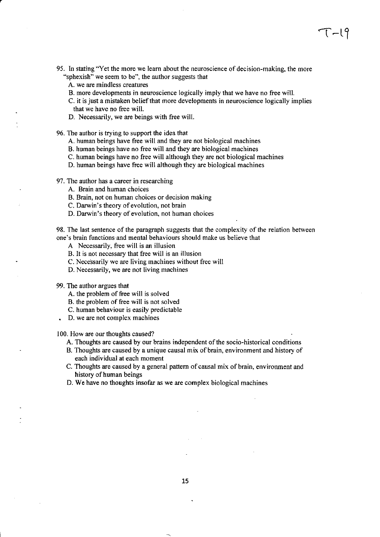- 95. In stating "Yet the more we learn about the neuroscience of decision-making, the more "sphexish" we seem to be", the author suggests that
	- A. we are mindless creatures
	- B. more developments in neuroscience logically imply that we have no free will.
	- C. it is just a mistaken belief that more developments in neuroscience logically implies that we have no free will.
	- D. Necessarily, we are beings with free will.
- 96. The author is trying to support the idea that
	- A. human beings have free will and they are not biological machines
	- B. human beings have no free will and they are biological machines
	- C. human beings have no free will although they are not biological machines
	- D. human beings have free will although they are biological machines
- 97. The author has a career in researching
	- A. Brain and human choices
	- B. Brain, not on human choices or decision making
	- C. Darwin's theory of evolution, not brain
	- D. Darwin's theory of evolution, not human choices

98. The last sentence of the paragraph suggests that the complexity of the relation between one's brain functions and mental behaviours should make us believe that

- A Necessarily, free will is an illusion
- B. It is not necessary that free will is an illusion
- C. Nece5sarily we are living machines without free will
- D. Necessarily, we are not living machines
- 99. The author argues that
	- A. the problem of free will is solved
	- B. the problem of free will is not solved
	- C. human behaviour is easily predictable
	- . D. we are not complex machines

100. How are our thoughts caused?

- A. Thoughts are caused by our brains independent of the socio-historical conditions
- B. Thoughts are caused by a unique causal mix of brain, environment and history of each individual at each moment
- C. Thoughts are caused by a general pattern of causal mix of brain, environment and history of human beings
- D. We have no thoughts insofar as we are complex biological machines